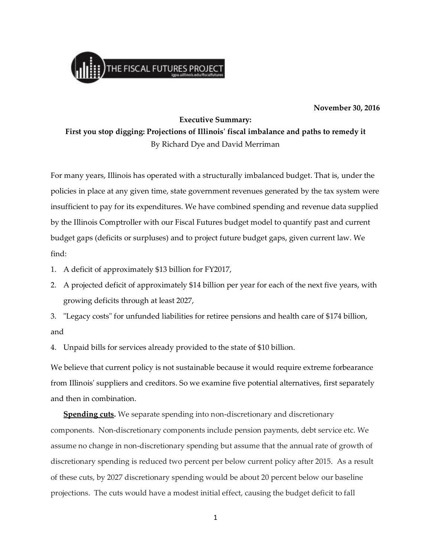

## **November 30, 2016**

## **Executive Summary:**

**First you stop digging: Projections of Illinois' fiscal imbalance and paths to remedy it** By Richard Dye and David Merriman

For many years, Illinois has operated with a structurally imbalanced budget. That is, under the policies in place at any given time, state government revenues generated by the tax system were insufficient to pay for its expenditures. We have combined spending and revenue data supplied by the Illinois Comptroller with our Fiscal Futures budget model to quantify past and current budget gaps (deficits or surpluses) and to project future budget gaps, given current law. We find:

- 1. A deficit of approximately \$13 billion for FY2017,
- 2. A projected deficit of approximately \$14 billion per year for each of the next five years, with growing deficits through at least 2027,
- 3. "Legacy costs" for unfunded liabilities for retiree pensions and health care of \$174 billion, and

4. Unpaid bills for services already provided to the state of \$10 billion.

We believe that current policy is not sustainable because it would require extreme forbearance from Illinois' suppliers and creditors. So we examine five potential alternatives, first separately and then in combination.

**Spending cuts.** We separate spending into non-discretionary and discretionary components. Non-discretionary components include pension payments, debt service etc. We assume no change in non-discretionary spending but assume that the annual rate of growth of discretionary spending is reduced two percent per below current policy after 2015. As a result of these cuts, by 2027 discretionary spending would be about 20 percent below our baseline projections. The cuts would have a modest initial effect, causing the budget deficit to fall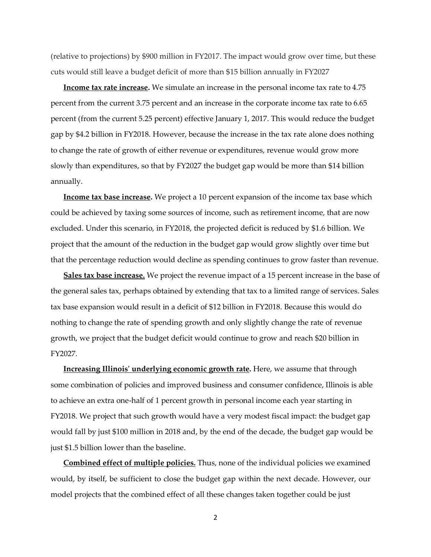(relative to projections) by \$900 million in FY2017. The impact would grow over time, but these cuts would still leave a budget deficit of more than \$15 billion annually in FY2027

**Income tax rate increase.** We simulate an increase in the personal income tax rate to 4.75 percent from the current 3.75 percent and an increase in the corporate income tax rate to 6.65 percent (from the current 5.25 percent) effective January 1, 2017. This would reduce the budget gap by \$4.2 billion in FY2018. However, because the increase in the tax rate alone does nothing to change the rate of growth of either revenue or expenditures, revenue would grow more slowly than expenditures, so that by FY2027 the budget gap would be more than \$14 billion annually.

**Income tax base increase.** We project a 10 percent expansion of the income tax base which could be achieved by taxing some sources of income, such as retirement income, that are now excluded. Under this scenario, in FY2018, the projected deficit is reduced by \$1.6 billion. We project that the amount of the reduction in the budget gap would grow slightly over time but that the percentage reduction would decline as spending continues to grow faster than revenue.

**Sales tax base increase.** We project the revenue impact of a 15 percent increase in the base of the general sales tax, perhaps obtained by extending that tax to a limited range of services. Sales tax base expansion would result in a deficit of \$12 billion in FY2018. Because this would do nothing to change the rate of spending growth and only slightly change the rate of revenue growth, we project that the budget deficit would continue to grow and reach \$20 billion in FY2027.

**Increasing Illinois' underlying economic growth rate.** Here, we assume that through some combination of policies and improved business and consumer confidence, Illinois is able to achieve an extra one-half of 1 percent growth in personal income each year starting in FY2018. We project that such growth would have a very modest fiscal impact: the budget gap would fall by just \$100 million in 2018 and, by the end of the decade, the budget gap would be just \$1.5 billion lower than the baseline.

**Combined effect of multiple policies.** Thus, none of the individual policies we examined would, by itself, be sufficient to close the budget gap within the next decade. However, our model projects that the combined effect of all these changes taken together could be just

2